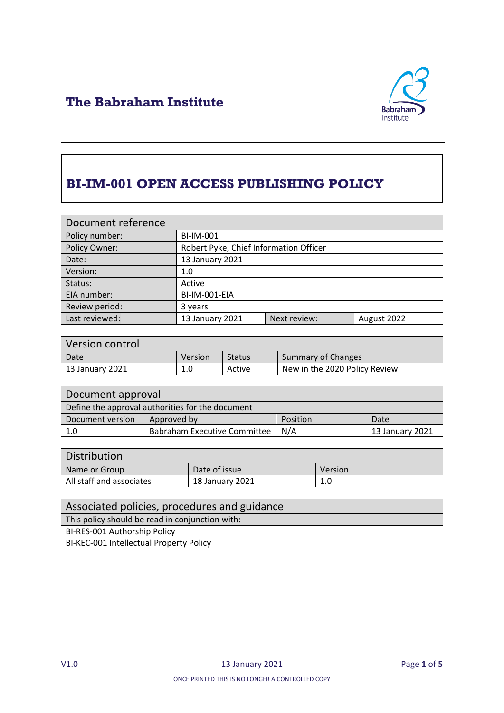



# **BI-IM-001 OPEN ACCESS PUBLISHING POLICY**

| Document reference |                                        |              |             |
|--------------------|----------------------------------------|--------------|-------------|
| Policy number:     | <b>BI-IM-001</b>                       |              |             |
| Policy Owner:      | Robert Pyke, Chief Information Officer |              |             |
| Date:              | 13 January 2021                        |              |             |
| Version:           | 1.0                                    |              |             |
| Status:            | Active                                 |              |             |
| EIA number:        | BI-IM-001-EIA                          |              |             |
| Review period:     | 3 years                                |              |             |
| Last reviewed:     | 13 January 2021                        | Next review: | August 2022 |

| Version control |         |               |                               |
|-----------------|---------|---------------|-------------------------------|
| Date            | Version | <b>Status</b> | Summary of Changes            |
| 13 January 2021 | 1.0     | Active        | New in the 2020 Policy Review |

| Document approval                                |                                     |          |                 |
|--------------------------------------------------|-------------------------------------|----------|-----------------|
| Define the approval authorities for the document |                                     |          |                 |
| Document version                                 | Approved by                         | Position | Date            |
| 1.0                                              | <b>Babraham Executive Committee</b> | N/A      | 13 January 2021 |

| Distribution             |                 |         |
|--------------------------|-----------------|---------|
| Name or Group            | Date of issue   | Version |
| All staff and associates | 18 January 2021 | 1.0     |

| Associated policies, procedures and guidance    |
|-------------------------------------------------|
| This policy should be read in conjunction with: |
| BI-RES-001 Authorship Policy                    |
| BI-KEC-001 Intellectual Property Policy         |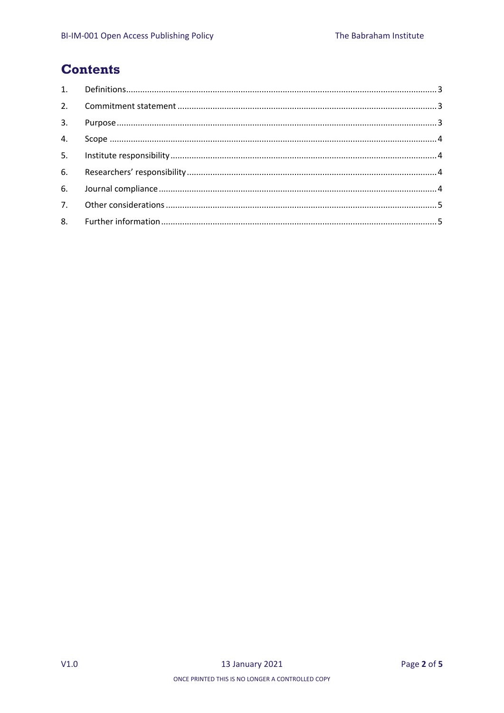### **Contents**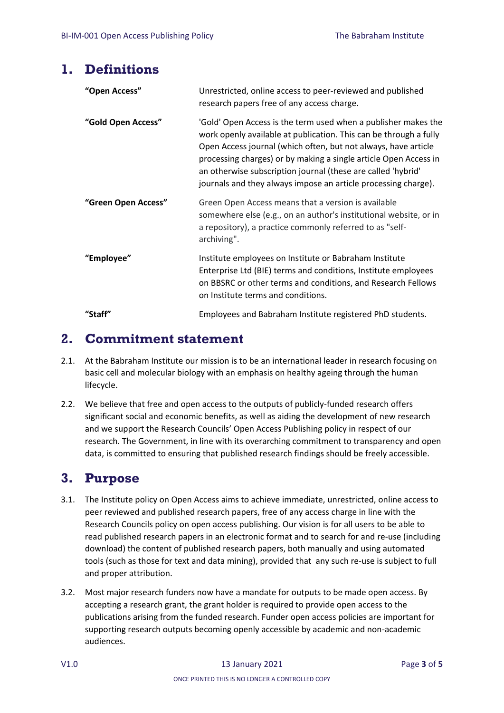### <span id="page-2-0"></span>**1. Definitions**

| "Open Access"       | Unrestricted, online access to peer-reviewed and published<br>research papers free of any access charge.                                                                                                                                                                                                                                                                                                    |
|---------------------|-------------------------------------------------------------------------------------------------------------------------------------------------------------------------------------------------------------------------------------------------------------------------------------------------------------------------------------------------------------------------------------------------------------|
| "Gold Open Access"  | 'Gold' Open Access is the term used when a publisher makes the<br>work openly available at publication. This can be through a fully<br>Open Access journal (which often, but not always, have article<br>processing charges) or by making a single article Open Access in<br>an otherwise subscription journal (these are called 'hybrid'<br>journals and they always impose an article processing charge). |
| "Green Open Access" | Green Open Access means that a version is available<br>somewhere else (e.g., on an author's institutional website, or in<br>a repository), a practice commonly referred to as "self-<br>archiving".                                                                                                                                                                                                         |
| "Employee"          | Institute employees on Institute or Babraham Institute<br>Enterprise Ltd (BIE) terms and conditions, Institute employees<br>on BBSRC or other terms and conditions, and Research Fellows<br>on Institute terms and conditions.                                                                                                                                                                              |
| "Staff"             | Employees and Babraham Institute registered PhD students.                                                                                                                                                                                                                                                                                                                                                   |

### <span id="page-2-1"></span>**2. Commitment statement**

- 2.1. At the Babraham Institute our mission is to be an international leader in research focusing on basic cell and molecular biology with an emphasis on healthy ageing through the human lifecycle.
- 2.2. We believe that free and open access to the outputs of publicly-funded research offers significant social and economic benefits, as well as aiding the development of new research and we support the Research Councils' Open Access Publishing policy in respect of our research. The Government, in line with its overarching commitment to transparency and open data, is committed to ensuring that published research findings should be freely accessible.

# <span id="page-2-2"></span>**3. Purpose**

- 3.1. The Institute policy on Open Access aims to achieve immediate, unrestricted, online access to peer reviewed and published research papers, free of any access charge in line with the Research Councils policy on open access publishing. Our vision is for all users to be able to read published research papers in an electronic format and to search for and re‐use (including download) the content of published research papers, both manually and using automated tools (such as those for text and data mining), provided that any such re‐use is subject to full and proper attribution.
- 3.2. Most major research funders now have a mandate for outputs to be made open access. By accepting a research grant, the grant holder is required to provide open access to the publications arising from the funded research. Funder open access policies are important for supporting research outputs becoming openly accessible by academic and non-academic audiences.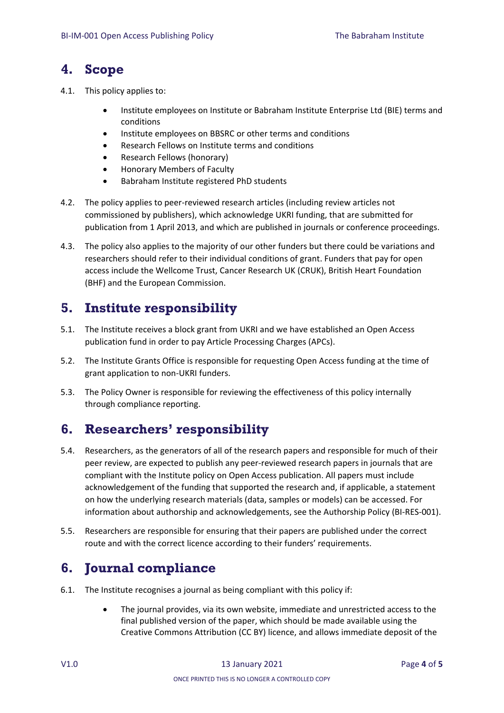### <span id="page-3-0"></span>**4. Scope**

- 4.1. This policy applies to:
	- Institute employees on Institute or Babraham Institute Enterprise Ltd (BIE) terms and conditions
	- Institute employees on BBSRC or other terms and conditions
	- Research Fellows on Institute terms and conditions
	- Research Fellows (honorary)
	- Honorary Members of Faculty
	- Babraham Institute registered PhD students
- 4.2. The policy applies to peer‐reviewed research articles (including review articles not commissioned by publishers), which acknowledge UKRI funding, that are submitted for publication from 1 April 2013, and which are published in journals or conference proceedings.
- 4.3. The policy also applies to the majority of our other funders but there could be variations and researchers should refer to their individual conditions of grant. Funders that pay for open access include the Wellcome Trust, Cancer Research UK (CRUK), British Heart Foundation (BHF) and the European Commission.

# <span id="page-3-1"></span>**5. Institute responsibility**

- 5.1. The Institute receives a block grant from UKRI and we have established an Open Access publication fund in order to pay Article Processing Charges (APCs).
- 5.2. The Institute Grants Office is responsible for requesting Open Access funding at the time of grant application to non-UKRI funders.
- 5.3. The Policy Owner is responsible for reviewing the effectiveness of this policy internally through compliance reporting.

# <span id="page-3-2"></span>**6. Researchers' responsibility**

- 5.4. Researchers, as the generators of all of the research papers and responsible for much of their peer review, are expected to publish any peer‐reviewed research papers in journals that are compliant with the Institute policy on Open Access publication. All papers must include acknowledgement of the funding that supported the research and, if applicable, a statement on how the underlying research materials (data, samples or models) can be accessed. For information about authorship and acknowledgements, see the Authorship Policy (BI-RES-001).
- 5.5. Researchers are responsible for ensuring that their papers are published under the correct route and with the correct licence according to their funders' requirements.

# <span id="page-3-3"></span>**6. Journal compliance**

- 6.1. The Institute recognises a journal as being compliant with this policy if:
	- The journal provides, via its own website, immediate and unrestricted access to the final published version of the paper, which should be made available using the Creative Commons Attribution (CC BY) licence, and allows immediate deposit of the